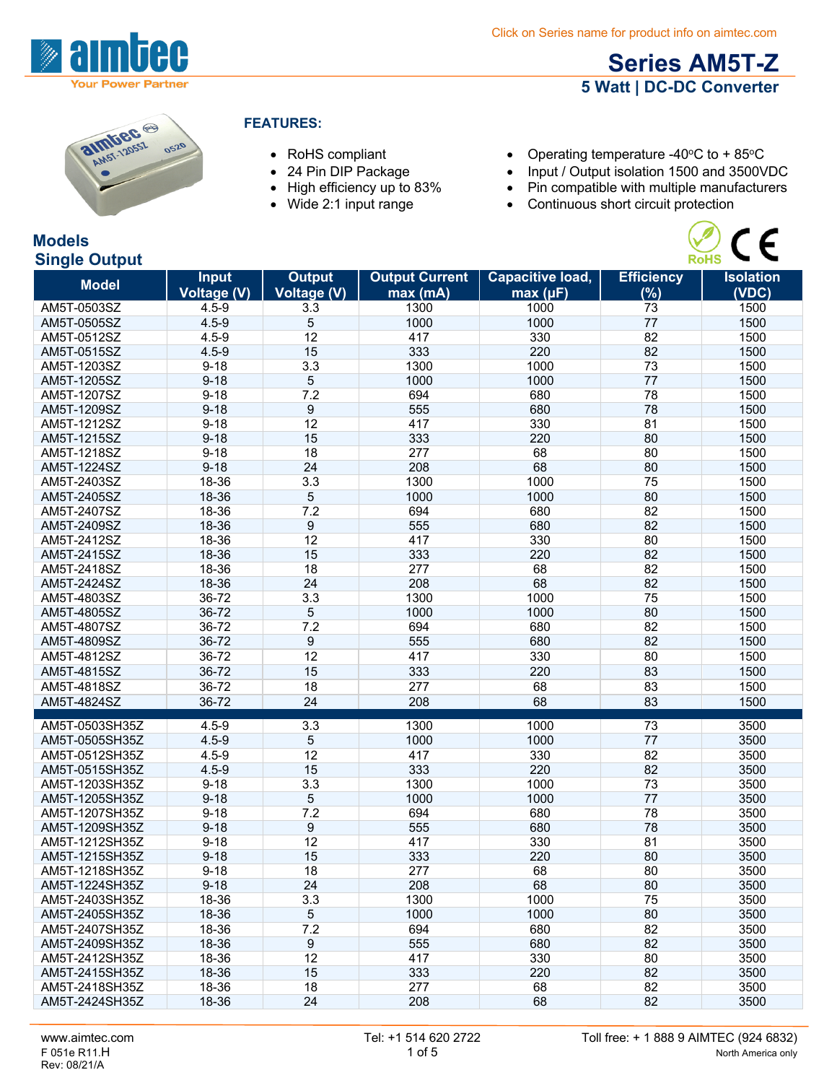

**Models**

## **Series AM5T-Z 5 Watt | DC-DC Converter**

 $C \subseteq$ 

| <b>almbec</b><br>0520 |
|-----------------------|
|                       |
|                       |

#### **FEATURES:**

- 
- 
- 
- 
- RoHS compliant Operating temperature -40°C to + 85°C
- 24 Pin DIP Package Input / Output isolation 1500 and 3500VDC<br>• High efficiency up to 83% Pin compatible with multiple manufacturers
- High efficiency up to 83% Pin compatible with multiple manufacturers<br>• Wide 2:1 input range Continuous short circuit protection
	- Continuous short circuit protection

| <b>RoHS</b><br><b>Single Output</b> |              |                    |                       |                  |                   |                  |
|-------------------------------------|--------------|--------------------|-----------------------|------------------|-------------------|------------------|
| <b>Model</b>                        | <b>Input</b> | <b>Output</b>      | <b>Output Current</b> | Capacitive load, | <b>Efficiency</b> | <b>Isolation</b> |
|                                     | Voltage (V)  | <b>Voltage (V)</b> | max(mA)               | max (µF)         | (%)               | (VDC)            |
| AM5T-0503SZ                         | $4.5 - 9$    | 3.3                | 1300                  | 1000             | 73                | 1500             |
| AM5T-0505SZ                         | $4.5 - 9$    | 5                  | 1000                  | 1000             | 77                | 1500             |
| AM5T-0512SZ                         | $4.5 - 9$    | 12                 | 417                   | 330              | 82                | 1500             |
| AM5T-0515SZ                         | $4.5 - 9$    | 15                 | 333                   | 220              | 82                | 1500             |
| AM5T-1203SZ                         | $9 - 18$     | 3.3                | 1300                  | 1000             | 73                | 1500             |
| AM5T-1205SZ                         | $9 - 18$     | 5                  | 1000                  | 1000             | 77                | 1500             |
| AM5T-1207SZ                         | $9 - 18$     | 7.2                | 694                   | 680              | 78                | 1500             |
| AM5T-1209SZ                         | $9 - 18$     | 9                  | 555                   | 680              | 78                | 1500             |
| AM5T-1212SZ                         | $9 - 18$     | 12                 | 417                   | 330              | 81                | 1500             |
| AM5T-1215SZ                         | $9 - 18$     | 15                 | 333                   | 220              | 80                | 1500             |
| AM5T-1218SZ                         | $9 - 18$     | 18                 | 277                   | 68               | 80                | 1500             |
| AM5T-1224SZ                         | $9 - 18$     | 24                 | 208                   | 68               | 80                | 1500             |
| AM5T-2403SZ                         | 18-36        | 3.3                | 1300                  | 1000             | 75                | 1500             |
| AM5T-2405SZ                         | 18-36        | 5                  | 1000                  | 1000             | 80                | 1500             |
| AM5T-2407SZ                         | 18-36        | 7.2                | 694                   | 680              | 82                | 1500             |
| AM5T-2409SZ                         | 18-36        | 9                  | 555                   | 680              | 82                | 1500             |
| AM5T-2412SZ                         | 18-36        | 12                 | 417                   | 330              | 80                | 1500             |
| AM5T-2415SZ                         | 18-36        | 15                 | 333                   | 220              | 82                | 1500             |
| AM5T-2418SZ                         | 18-36        | 18                 | 277                   | 68               | 82                | 1500             |
| AM5T-2424SZ                         | 18-36        | 24                 | 208                   | 68               | 82                | 1500             |
| AM5T-4803SZ                         | 36-72        | 3.3                | 1300                  | 1000             | 75                | 1500             |
| AM5T-4805SZ                         | 36-72        | 5                  | 1000                  | 1000             | 80                | 1500             |
| AM5T-4807SZ                         | 36-72        | 7.2                | 694                   | 680              | 82                | 1500             |
| AM5T-4809SZ                         | 36-72        | 9                  | 555                   | 680              | 82                | 1500             |
| AM5T-4812SZ                         | 36-72        | 12                 | 417                   | 330              | 80                | 1500             |
| AM5T-4815SZ                         | 36-72        | 15                 | 333                   | 220              | 83                | 1500             |
| AM5T-4818SZ                         | 36-72        | 18                 | 277                   | 68               | 83                | 1500             |
| AM5T-4824SZ                         | 36-72        | 24                 | 208                   | 68               | 83                | 1500             |
|                                     |              |                    |                       |                  |                   |                  |
| AM5T-0503SH35Z                      | $4.5 - 9$    | 3.3                | 1300                  | 1000             | 73                | 3500             |
| AM5T-0505SH35Z                      | $4.5 - 9$    | 5                  | 1000                  | 1000             | 77                | 3500             |
| AM5T-0512SH35Z                      | $4.5 - 9$    | 12                 | 417                   | 330              | 82                | 3500             |
| AM5T-0515SH35Z                      | $4.5 - 9$    | 15                 | 333                   | 220              | 82                | 3500             |
| AM5T-1203SH35Z                      | $9 - 18$     | 3.3                | 1300                  | 1000             | 73                | 3500             |
| AM5T-1205SH35Z                      | $9 - 18$     | 5                  | 1000                  | 1000             | 77                | 3500             |
| AM5T-1207SH35Z                      | $9 - 18$     | 7.2                | 694                   | 680              | 78                | 3500             |
| AM5T-1209SH35Z                      | $9 - 18$     | 9                  | 555                   | 680              | 78                | 3500             |
| AM5T-1212SH35Z                      | $9 - 18$     | 12                 | 417                   | 330              | 81                | 3500             |
| AM5T-1215SH35Z                      | $9 - 18$     | 15                 | 333                   | 220              | 80                | 3500             |
| AM5T-1218SH35Z                      | $9 - 18$     | 18                 | 277                   | 68               | 80                | 3500             |
| AM5T-1224SH35Z                      | $9 - 18$     | 24                 | 208                   | 68               | 80                | 3500             |
| AM5T-2403SH35Z                      | 18-36        | 3.3                | 1300                  | 1000             | 75                | 3500             |
| AM5T-2405SH35Z                      | 18-36        | 5                  | 1000                  | 1000             | 80                | 3500             |
| AM5T-2407SH35Z                      | 18-36        | 7.2                | 694                   | 680              | 82                | 3500             |
| AM5T-2409SH35Z                      | 18-36        | 9                  | 555                   | 680              | 82                | 3500             |
| AM5T-2412SH35Z                      | 18-36        | 12                 | 417                   | 330              | 80                | 3500             |
| AM5T-2415SH35Z                      | 18-36        | 15                 | 333                   | 220              | 82                | 3500             |
| AM5T-2418SH35Z                      | 18-36        | 18                 | 277                   | 68               | 82                | 3500             |
| AM5T-2424SH35Z                      | 18-36        | 24                 | 208                   | 68               | 82                | 3500             |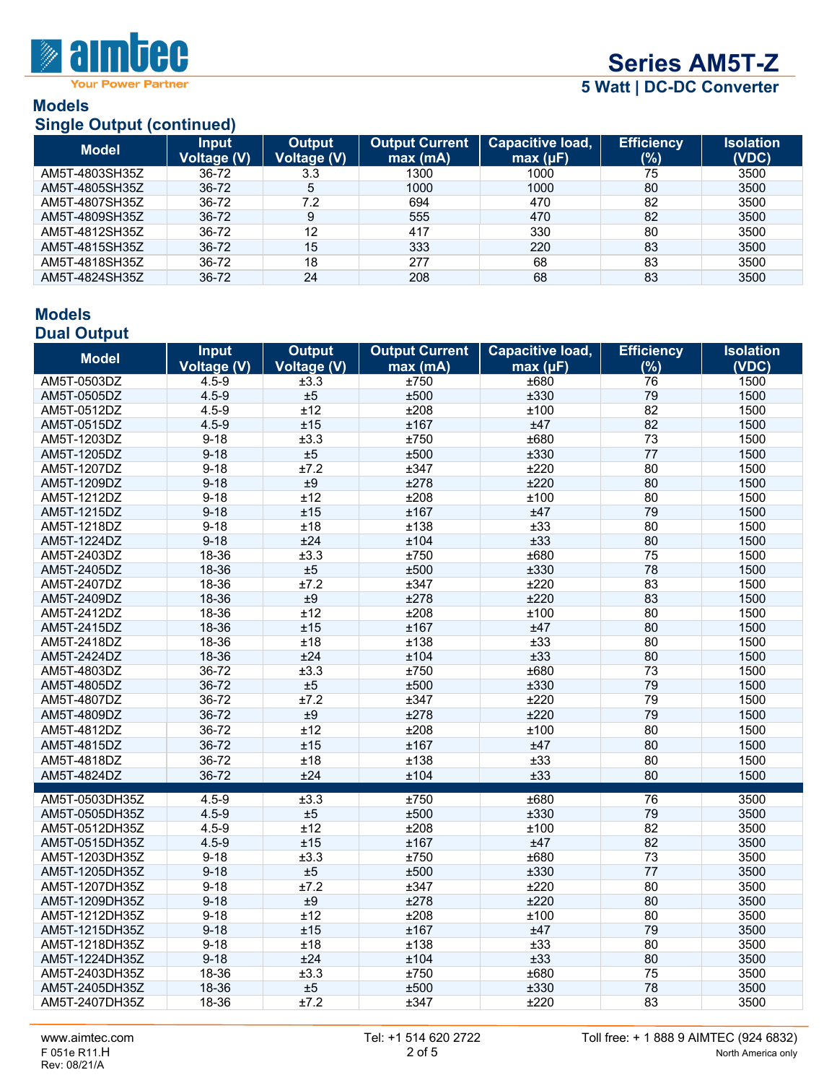

**Your Power Partner** 

# **Series AM5T-Z**

**5 Watt | DC-DC Converter**

#### **Models Single Output (continued)**

| <b>Model</b>   | <b>Input</b><br><b>Voltage (V)</b> | <b>Output</b><br>Voltage (V) | <b>Output Current</b><br>max(mA) | <b>Capacitive load,</b><br>max (µF) | <b>Efficiency</b><br>(%) | <b>Isolation</b><br>(VDC) |
|----------------|------------------------------------|------------------------------|----------------------------------|-------------------------------------|--------------------------|---------------------------|
| AM5T-4803SH35Z | 36-72                              | 3.3                          | 1300                             | 1000                                | 75                       | 3500                      |
| AM5T-4805SH35Z | 36-72                              | 5                            | 1000                             | 1000                                | 80                       | 3500                      |
| AM5T-4807SH35Z | 36-72                              | 7.2                          | 694                              | 470                                 | 82                       | 3500                      |
| AM5T-4809SH35Z | 36-72                              | 9                            | 555                              | 470                                 | 82                       | 3500                      |
| AM5T-4812SH35Z | 36-72                              | 12                           | 417                              | 330                                 | 80                       | 3500                      |
| AM5T-4815SH35Z | 36-72                              | 15                           | 333                              | 220                                 | 83                       | 3500                      |
| AM5T-4818SH35Z | 36-72                              | 18                           | 277                              | 68                                  | 83                       | 3500                      |
| AM5T-4824SH35Z | 36-72                              | 24                           | 208                              | 68                                  | 83                       | 3500                      |

### **Models Dual Output**

| <b>Model</b>   | <b>Input</b>                    | <b>Output</b><br>Voltage (V) | <b>Output Current</b> | Capacitive load, | <b>Efficiency</b><br>(%) | <b>Isolation</b><br>(VDC) |
|----------------|---------------------------------|------------------------------|-----------------------|------------------|--------------------------|---------------------------|
| AM5T-0503DZ    | <b>Voltage (V)</b><br>$4.5 - 9$ | ±3.3                         | max (mA)<br>±750      | max (µF)<br>±680 | 76                       | 1500                      |
| AM5T-0505DZ    | $4.5 - 9$                       | ±5                           | ±500                  | ±330             | 79                       | 1500                      |
| AM5T-0512DZ    | $4.5 - 9$                       | ±12                          | ±208                  | ±100             | 82                       | 1500                      |
| AM5T-0515DZ    | $4.5 - 9$                       | ±15                          | ±167                  | ±47              | 82                       | 1500                      |
| AM5T-1203DZ    | $9 - 18$                        | ±3.3                         | ±750                  | ±680             | 73                       | 1500                      |
|                | $9 - 18$                        | ±5                           | ±500                  | ±330             | 77                       | 1500                      |
| AM5T-1205DZ    | $9 - 18$                        |                              |                       | ±220             | 80                       |                           |
| AM5T-1207DZ    |                                 | ±7.2                         | ±347                  | ±220             | 80                       | 1500                      |
| AM5T-1209DZ    | $9 - 18$                        | ±9                           | ±278                  |                  |                          | 1500                      |
| AM5T-1212DZ    | $9 - 18$                        | ±12                          | ±208                  | ±100             | 80                       | 1500                      |
| AM5T-1215DZ    | $9 - 18$                        | ±15                          | ±167                  | ±47              | 79                       | 1500                      |
| AM5T-1218DZ    | $9 - 18$                        | ±18                          | ±138                  | ±33              | 80                       | 1500                      |
| AM5T-1224DZ    | $9 - 18$                        | ±24                          | ±104                  | ±33              | 80                       | 1500                      |
| AM5T-2403DZ    | 18-36                           | ±3.3                         | ±750                  | ±680             | 75                       | 1500                      |
| AM5T-2405DZ    | 18-36                           | ±5                           | ±500                  | ±330             | 78                       | 1500                      |
| AM5T-2407DZ    | 18-36                           | ±7.2                         | ±347                  | ±220             | 83                       | 1500                      |
| AM5T-2409DZ    | 18-36                           | ±9                           | ±278                  | ±220             | 83                       | 1500                      |
| AM5T-2412DZ    | 18-36                           | ±12                          | ±208                  | ±100             | 80                       | 1500                      |
| AM5T-2415DZ    | 18-36                           | ±15                          | ±167                  | ±47              | 80                       | 1500                      |
| AM5T-2418DZ    | 18-36                           | ±18                          | ±138                  | ±33              | 80                       | 1500                      |
| AM5T-2424DZ    | 18-36                           | ±24                          | ±104                  | ±33              | 80                       | 1500                      |
| AM5T-4803DZ    | 36-72                           | ±3.3                         | ±750                  | ±680             | 73                       | 1500                      |
| AM5T-4805DZ    | 36-72                           | ±5                           | ±500                  | ±330             | 79                       | 1500                      |
| AM5T-4807DZ    | 36-72                           | ±7.2                         | ±347                  | ±220             | 79                       | 1500                      |
| AM5T-4809DZ    | 36-72                           | ±9                           | ±278                  | ±220             | 79                       | 1500                      |
| AM5T-4812DZ    | 36-72                           | ±12                          | ±208                  | ±100             | 80                       | 1500                      |
| AM5T-4815DZ    | 36-72                           | ±15                          | ±167                  | ±47              | 80                       | 1500                      |
| AM5T-4818DZ    | 36-72                           | ±18                          | ±138                  | ±33              | 80                       | 1500                      |
| AM5T-4824DZ    | 36-72                           | ±24                          | ±104                  | ±33              | 80                       | 1500                      |
| AM5T-0503DH35Z | $4.5 - 9$                       | ±3.3                         | $\pm 750$             | ±680             | 76                       | 3500                      |
| AM5T-0505DH35Z | $4.5 - 9$                       | ±5                           | ±500                  | ±330             | 79                       | 3500                      |
| AM5T-0512DH35Z | $4.5 - 9$                       | ±12                          | ±208                  | ±100             | 82                       | 3500                      |
| AM5T-0515DH35Z | $4.5 - 9$                       | ±15                          | ±167                  | ±47              | 82                       | 3500                      |
| AM5T-1203DH35Z | $9 - 18$                        | ±3.3                         | ±750                  | ±680             | 73                       | 3500                      |
| AM5T-1205DH35Z | $9 - 18$                        | ±5                           | ±500                  | ±330             | 77                       | 3500                      |
| AM5T-1207DH35Z | $9 - 18$                        | ±7.2                         | ±347                  | ±220             | 80                       | 3500                      |
| AM5T-1209DH35Z | $9 - 18$                        | $\pm 9$                      | ±278                  | ±220             | 80                       | 3500                      |
| AM5T-1212DH35Z | $9 - 18$                        | ±12                          | ±208                  | ±100             | 80                       | 3500                      |
| AM5T-1215DH35Z | $9 - 18$                        | ±15                          | ±167                  | ±47              | 79                       | 3500                      |
| AM5T-1218DH35Z | $9 - 18$                        | ±18                          | ±138                  | ±33              | 80                       | 3500                      |
| AM5T-1224DH35Z | $9 - 18$                        | ±24                          | ±104                  | ±33              | 80                       | 3500                      |
| AM5T-2403DH35Z | 18-36                           | ±3.3                         | ±750                  | ±680             | 75                       | 3500                      |
| AM5T-2405DH35Z | 18-36                           | ±5                           | ±500                  | ±330             | 78                       | 3500                      |
| AM5T-2407DH35Z | 18-36                           | ±7.2                         | ±347                  | ±220             | 83                       | 3500                      |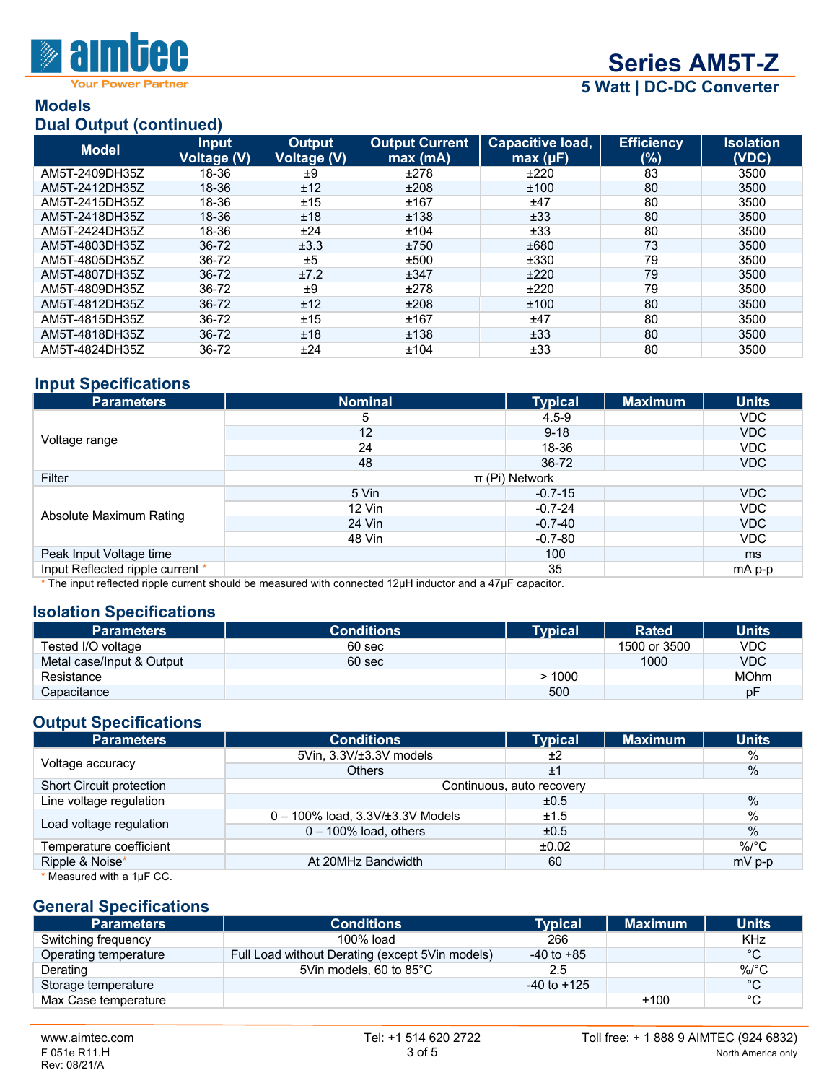

**Your Power Partner** 

## **Series AM5T-Z**

**5 Watt | DC-DC Converter**

#### **Models Dual Output (continued)**

| $-$ - $     -$ |                                    |                              |                                  |                              |                          |                           |
|----------------|------------------------------------|------------------------------|----------------------------------|------------------------------|--------------------------|---------------------------|
| <b>Model</b>   | <b>Input</b><br><b>Voltage (V)</b> | <b>Output</b><br>Voltage (V) | <b>Output Current</b><br>max(mA) | Capacitive load,<br>max (µF) | <b>Efficiency</b><br>(%) | <b>Isolation</b><br>(VDC) |
| AM5T-2409DH35Z | 18-36                              | ±9                           | ±278                             | ±220                         | 83                       | 3500                      |
| AM5T-2412DH35Z | 18-36                              | ±12                          | ±208                             | ±100                         | 80                       | 3500                      |
| AM5T-2415DH35Z | 18-36                              | ±15                          | ±167                             | ±47                          | 80                       | 3500                      |
| AM5T-2418DH35Z | 18-36                              | ±18                          | ±138                             | ±33                          | 80                       | 3500                      |
| AM5T-2424DH35Z | 18-36                              | ±24                          | ±104                             | ±33                          | 80                       | 3500                      |
| AM5T-4803DH35Z | $36 - 72$                          | ±3.3                         | ±750                             | ±680                         | 73                       | 3500                      |
| AM5T-4805DH35Z | 36-72                              | ±5                           | ±500                             | ±330                         | 79                       | 3500                      |
| AM5T-4807DH35Z | $36 - 72$                          | ±7.2                         | ±347                             | ±220                         | 79                       | 3500                      |
| AM5T-4809DH35Z | 36-72                              | ±9                           | ±278                             | ±220                         | 79                       | 3500                      |
| AM5T-4812DH35Z | $36 - 72$                          | ±12                          | ±208                             | ±100                         | 80                       | 3500                      |
| AM5T-4815DH35Z | 36-72                              | ±15                          | ±167                             | ±47                          | 80                       | 3500                      |
| AM5T-4818DH35Z | $36 - 72$                          | ±18                          | ±138                             | ±33                          | 80                       | 3500                      |
| AM5T-4824DH35Z | 36-72                              | ±24                          | ±104                             | ±33                          | 80                       | 3500                      |

### **Input Specifications**

| <b>Parameters</b>                | <b>Nominal</b>                                                                                              | <b>Typical</b> | <b>Maximum</b> | <b>Units</b>  |
|----------------------------------|-------------------------------------------------------------------------------------------------------------|----------------|----------------|---------------|
|                                  | 5                                                                                                           | $4.5 - 9$      |                | VDC.          |
|                                  | 12                                                                                                          | $9 - 18$       |                | VDC           |
| Voltage range                    | 24                                                                                                          | 18-36          |                | VDC           |
|                                  | 48                                                                                                          | $36 - 72$      |                | VDC           |
| Filter                           | $\pi$ (Pi) Network                                                                                          |                |                |               |
|                                  | 5 Vin                                                                                                       | $-0.7 - 15$    |                | VDC           |
|                                  | $12$ Vin                                                                                                    | $-0.7 - 24$    |                | VDC.          |
| Absolute Maximum Rating          | 24 Vin                                                                                                      | $-0.7 - 40$    |                | VDC           |
|                                  | 48 Vin                                                                                                      | $-0.7 - 80$    |                | VDC           |
| Peak Input Voltage time          |                                                                                                             | 100            |                | <sub>ms</sub> |
| Input Reflected ripple current * |                                                                                                             | 35             |                | mA p-p        |
|                                  | $*$ The input reflected right current chauld he measured with connected 10ull inductor and a 17uE conseitor |                |                |               |

The input reflected ripple current should be measured with connected 12μH inductor and a 47μF capacitor.

### **Isolation Specifications**

| <b>Parameters</b>         | <b>Conditions</b> | Tvpical | <b>Rated</b> | <b>Units</b> |
|---------------------------|-------------------|---------|--------------|--------------|
| Tested I/O voltage        | 60 sec            |         | 1500 or 3500 | VDC          |
| Metal case/Input & Output | 60 sec            |         | 1000         | <b>VDC</b>   |
| Resistance                |                   | >1000   |              | <b>MOhm</b>  |
| Capacitance               |                   | 500     |              | рF           |

## **Output Specifications**

| <b>Parameters</b>         | <b>Conditions</b>                        | <b>Typical</b>            | <b>Maximum</b> | <b>Units</b> |
|---------------------------|------------------------------------------|---------------------------|----------------|--------------|
|                           | 5Vin, 3.3V/±3.3V models                  | ±2                        |                | %            |
| Voltage accuracy          | <b>Others</b>                            | ±1                        |                | %            |
| Short Circuit protection  |                                          | Continuous, auto recovery |                |              |
| Line voltage regulation   |                                          | ±0.5                      |                | %            |
| Load voltage regulation   | $0 - 100\%$ load, $3.3V/\pm 3.3V$ Models | ±1.5                      |                | $\%$         |
|                           | $0 - 100\%$ load, others                 | ±0.5                      |                | $\%$         |
| Temperature coefficient   |                                          | ±0.02                     |                | $\%$ /°C     |
| Ripple & Noise*           | At 20MHz Bandwidth                       | 60                        |                | $mV$ p-p     |
| * Measured with a 1µF CC. |                                          |                           |                |              |

#### **General Specifications**

| <b>Parameters</b>     | <b>Conditions</b>                               | Tvpical         | <b>Maximum</b> | <b>Units</b> |
|-----------------------|-------------------------------------------------|-----------------|----------------|--------------|
| Switching frequency   | 100% load                                       | 266             |                | <b>KHz</b>   |
| Operating temperature | Full Load without Derating (except 5Vin models) | $-40$ to $+85$  |                | $^{\circ}C$  |
| Derating              | 5Vin models, 60 to 85°C                         | 2.5             |                | $\%$ /°C     |
| Storage temperature   |                                                 | $-40$ to $+125$ |                | $^{\circ}C$  |
| Max Case temperature  |                                                 |                 | $+100$         | $^{\circ}C$  |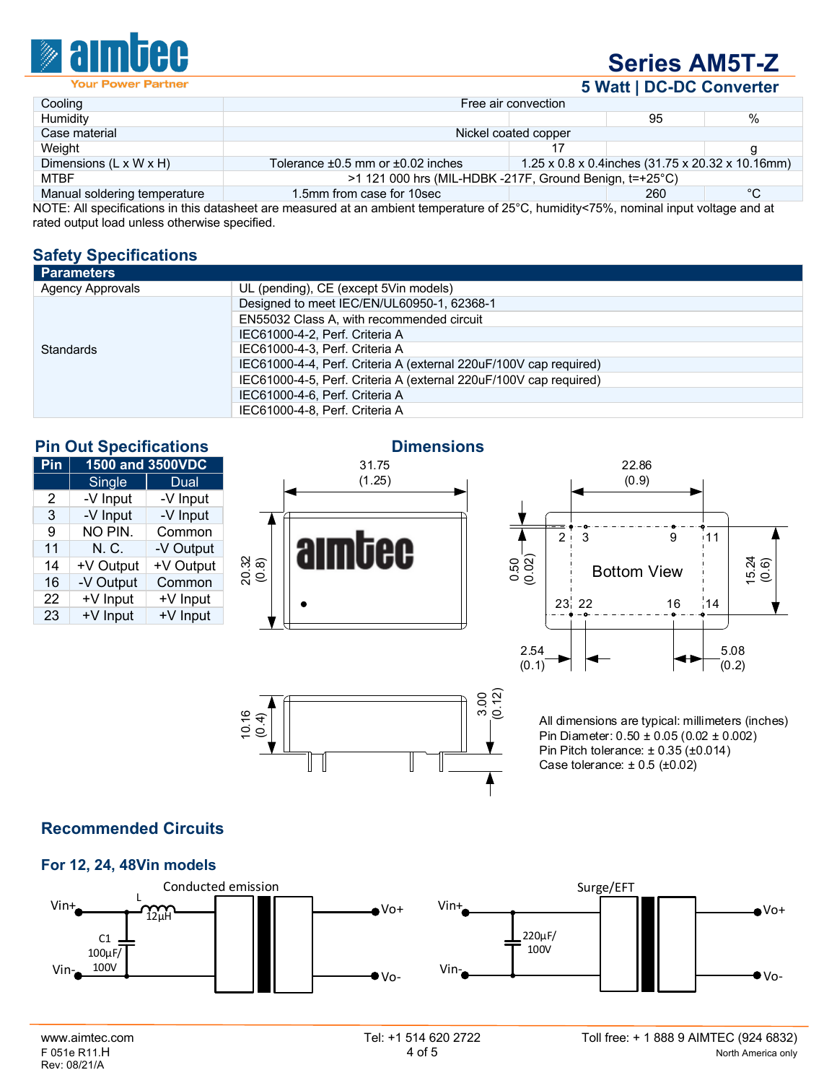

# **Series AM5T-Z**

**5 Watt | DC-DC Converter**

|                                    |                                                           |                      | $\sim$ $\sim$ $\sim$ $\sim$ $\sim$ $\sim$                     |    |
|------------------------------------|-----------------------------------------------------------|----------------------|---------------------------------------------------------------|----|
| Cooling                            |                                                           | Free air convection  |                                                               |    |
| Humidity                           |                                                           |                      | 95                                                            | %  |
| Case material                      |                                                           | Nickel coated copper |                                                               |    |
| Weight                             |                                                           |                      |                                                               |    |
| Dimensions $(L \times W \times H)$ | Tolerance $\pm 0.5$ mm or $\pm 0.02$ inches               |                      | $1.25 \times 0.8 \times 0.4$ inches (31.75 x 20.32 x 10.16mm) |    |
| <b>MTBF</b>                        | $>1$ 121 000 hrs (MIL-HDBK -217F, Ground Benign, t=+25°C) |                      |                                                               |    |
| Manual soldering temperature       | 1.5mm from case for 10sec                                 |                      | 260                                                           | °C |

NOTE: All specifications in this datasheet are measured at an ambient temperature of 25°C, humidity<75%, nominal input voltage and at rated output load unless otherwise specified.

## **Safety Specifications**

| Parameters              |                                                                   |
|-------------------------|-------------------------------------------------------------------|
| <b>Agency Approvals</b> | UL (pending), CE (except 5Vin models)                             |
|                         | Designed to meet IEC/EN/UL60950-1, 62368-1                        |
|                         | EN55032 Class A, with recommended circuit                         |
|                         | IEC61000-4-2, Perf. Criteria A                                    |
| <b>Standards</b>        | IEC61000-4-3, Perf. Criteria A                                    |
|                         | IEC61000-4-4, Perf. Criteria A (external 220uF/100V cap required) |
|                         | IEC61000-4-5, Perf. Criteria A (external 220uF/100V cap required) |
|                         | IEC61000-4-6, Perf. Criteria A                                    |
|                         | IEC61000-4-8, Perf. Criteria A                                    |

| <b>Pin Out Specifications</b> |  |
|-------------------------------|--|
|                               |  |

| Pin | 1500 and 3500VDC |           |
|-----|------------------|-----------|
|     | <b>Single</b>    | Dual      |
| 2   | -V Input         | -V Input  |
| 3   | -V Input         | -V Input  |
| 9   | NO PIN.          | Common    |
| 11  | N. C.            | -V Output |
| 14  | +V Output        | +V Output |
| 16  | -V Output        | Common    |
| 22  | +V Input         | +V Input  |
| 23  | +V Input         | +V Input  |

#### **Dimensions**



१९<br>१०.२

II  $\overline{\phantom{a}}$ 



All dimensions are typical: millimeters (inches) Pin Diameter: 0.50 ± 0.05 (0.02 ± 0.002) Pin Pitch tolerance:  $\pm$  0.35 ( $\pm$ 0.014) Case tolerance:  $\pm 0.5$  ( $\pm 0.02$ )

## **Recommended Circuits**